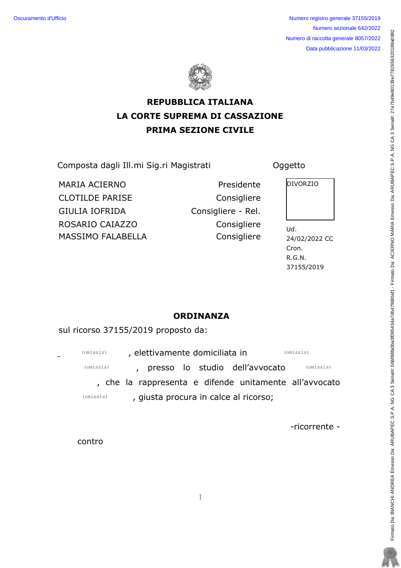Oscuramento d'Ufficio **Numero registro generale 37155/2019** Numero sezionale 642/2022 Numero di raccolta generale 8057/2022 Data pubblicazione 11/03/2022



## REPUBBLICA ITALIANA LA CORTE SUPREMA DI CASSAZIONE PRIMA SEZIONE CIVILE

Eqorquvc!fcink!Knn/ok!Uki/tk!Ocikuvtcvk! Qiigvvq!

MARIA ACIERNO **Presidente** Presidente PIVORZIO CLOTILDE PARISE COnsigliere GIULIA IOFRIDA Consigliere - Rel. TQUCTKQ!ECKC\\Q! Eqpukinkgtg Wf/! MASSIMO FALABELLA



24/02/2022 CC Cron.  $R.G.N.$ 37155/2019

## **ORDINANZA**

sul ricorso 37155/2019 proposto da:

| (omissis)<br>$\sim$ | , elettivamente domiciliata in |  |  |  |                                       |  | (omissis)                                              |
|---------------------|--------------------------------|--|--|--|---------------------------------------|--|--------------------------------------------------------|
| (omissis)           |                                |  |  |  | , presso lo studio dell'avvocato      |  | (omissis)                                              |
|                     |                                |  |  |  |                                       |  | , che la rappresenta e difende unitamente all'avvocato |
| (omissis)           |                                |  |  |  | , giusta procura in calce al ricorso; |  |                                                        |

-ricorrente -

contro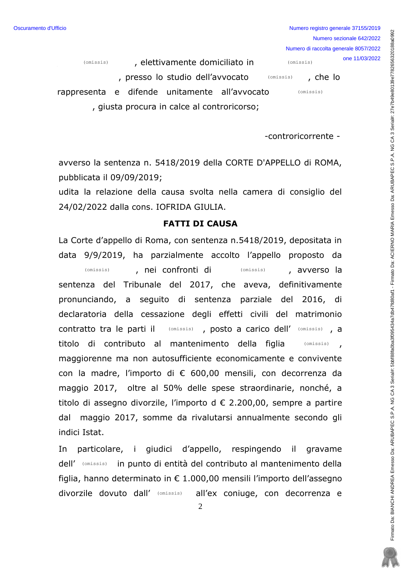Numero registro generale 37155/2019 Numero sezionale 642/2022 Numero di raccolta generale 8057/2022 one 11/03/2022 (omissis)

, che lo

(omissis)

, presso lo studio dell'avvocato

, elettivamente domiciliato in

(omissis)

(omissis)

rappresenta e difende unitamente all'avvocato , giusta procura in calce al controricorso;

-controricorrente -

avverso la sentenza n. 5418/2019 della CORTE D'APPELLO di ROMA, pubblicata il 09/09/2019;

udita la relazione della causa svolta nella camera di consiglio del 24/02/2022 dalla cons. IOFRIDA GIULIA.

## **FATTI DI CAUSA**

La Corte d'appello di Roma, con sentenza n.5418/2019, depositata in data 9/9/2019, ha parzialmente accolto l'appello proposto da (omissis) (omissis) , nei confronti di , avverso la sentenza del Tribunale del 2017, che aveva, definitivamente pronunciando, a seguito di sentenza parziale del 2016, di declaratoria della cessazione degli effetti civili del matrimonio contratto tra le parti il (omissis), posto a carico dell' (omissis), a titolo di contributo al mantenimento della figlia  $(omissis)$ maggiorenne ma non autosufficiente economicamente e convivente con la madre, l'importo di € 600,00 mensili, con decorrenza da maggio 2017, oltre al 50% delle spese straordinarie, nonché, a titolo di assegno divorzile, l'importo d € 2.200.00, sempre a partire dal maggio 2017, somme da rivalutarsi annualmente secondo gli indici Istat.

In particolare, i giudici d'appello, respingendo il gravame dell' (omissis) in punto di entità del contributo al mantenimento della figlia, hanno determinato in € 1.000,00 mensili l'importo dell'assegno divorzile dovuto dall' (Omissis) all'ex coniuge, con decorrenza e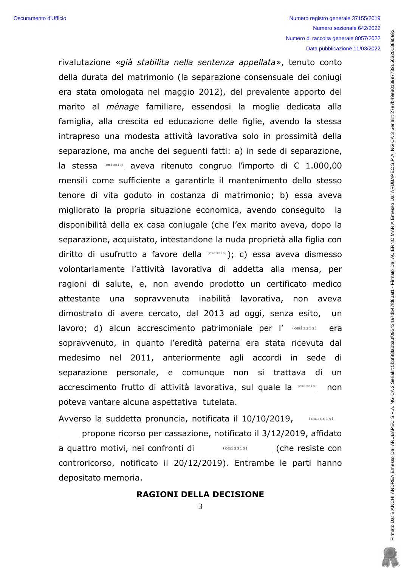rivalutazione «già stabilita nella sentenza appellata», tenuto conto della durata del matrimonio (la separazione consensuale dei coniugi era stata omologata nel maggio 2012), del prevalente apporto del marito al *ménage* familiare, essendosi la moglie dedicata alla famiglia, alla crescita ed educazione delle figlie, avendo la stessa intrapreso una modesta attività lavorativa solo in prossimità della separazione, ma anche dei sequenti fatti: a) in sede di separazione, la stessa (Omissis) aveva ritenuto congruo l'importo di € 1.000,00 mensili come sufficiente a garantirle il mantenimento dello stesso tenore di vita goduto in costanza di matrimonio; b) essa aveva migliorato la propria situazione economica, avendo conseguito la disponibilità della ex casa coniugale (che l'ex marito aveva, dopo la separazione, acquistato, intestandone la nuda proprietà alla figlia con diritto di usufrutto a favore della (Omissis); c) essa aveva dismesso volontariamente l'attività lavorativa di addetta alla mensa, per ragioni di salute, e, non avendo prodotto un certificato medico attestante una sopravvenuta inabilità lavorativa, non aveva dimostrato di avere cercato, dal 2013 ad oggi, senza esito, un lavoro; d) alcun accrescimento patrimoniale per l' (omissis) era sopravvenuto, in quanto l'eredità paterna era stata ricevuta dal medesimo nel 2011, anteriormente agli accordi in sede di separazione personale, e comunque non si trattava di un accrescimento frutto di attività lavorativa, sul quale la (Omissis) non poteva vantare alcuna aspettativa tutelata.

Avverso la suddetta pronuncia, notificata il 10/10/2019, (omissis)

propone ricorso per cassazione, notificato il 3/12/2019, affidato a quattro motivi, nei confronti di  $(omissis)$ (che resiste con controricorso, notificato il 20/12/2019). Entrambe le parti hanno depositato memoria.

**RAGIONI DELLA DECISIONE**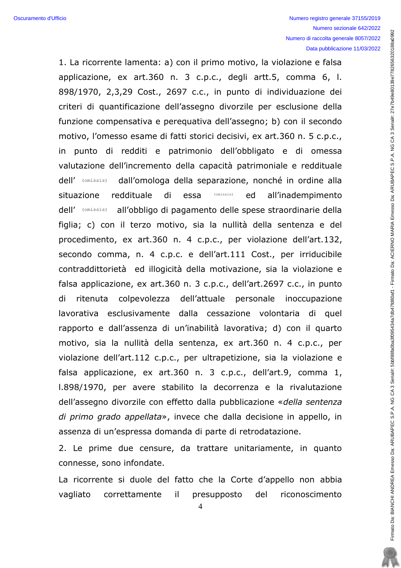1. La ricorrente lamenta: a) con il primo motivo, la violazione e falsa applicazione, ex art.360 n. 3 c.p.c., degli artt.5, comma 6, l. 898/1970, 2,3,29 Cost., 2697 c.c., in punto di individuazione dei criteri di quantificazione dell'assegno divorzile per esclusione della funzione compensativa e pereguativa dell'assegno; b) con il secondo motivo, l'omesso esame di fatti storici decisivi, ex art.360 n. 5 c.p.c., in punto di redditi e patrimonio dell'obbligato e di omessa valutazione dell'incremento della capacità patrimoniale e reddituale dell' (omissis) dall'omologa della separazione, nonché in ordine alla reddituale di essa  $(omissis)$ ed all'inadempimento situazione all'obbligo di pagamento delle spese straordinarie della dell' (omissis) figlia; c) con il terzo motivo, sia la nullità della sentenza e del procedimento, ex art.360 n. 4 c.p.c., per violazione dell'art.132, secondo comma, n. 4 c.p.c. e dell'art.111 Cost., per irriducibile contraddittorietà ed illogicità della motivazione, sia la violazione e falsa applicazione, ex art.360 n. 3 c.p.c., dell'art.2697 c.c., in punto di ritenuta colpevolezza dell'attuale personale inoccupazione lavorativa esclusivamente dalla cessazione volontaria di quel rapporto e dall'assenza di un'inabilità lavorativa; d) con il quarto motivo, sia la nullità della sentenza, ex art.360 n. 4 c.p.c., per violazione dell'art.112 c.p.c., per ultrapetizione, sia la violazione e falsa applicazione, ex art.360 n. 3 c.p.c., dell'art.9, comma 1, 1.898/1970, per avere stabilito la decorrenza e la rivalutazione dell'assegno divorzile con effetto dalla pubblicazione «della sentenza di primo grado appellata», invece che dalla decisione in appello, in assenza di un'espressa domanda di parte di retrodatazione.

2. Le prime due censure, da trattare unitariamente, in quanto connesse, sono infondate.

La ricorrente si duole del fatto che la Corte d'appello non abbia vagliato correttamente  $\mathbf{ii}$ presupposto del riconoscimento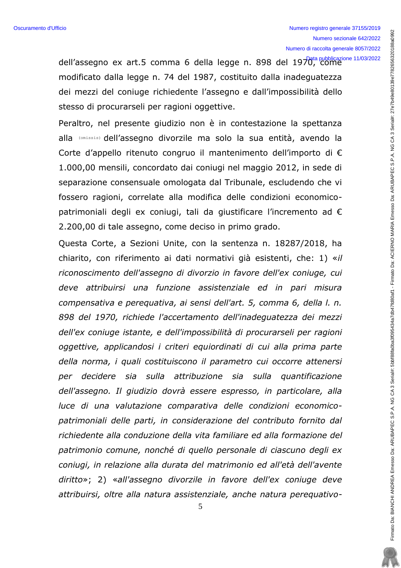dell'assegno ex art.5 comma 6 della legge n. 898 del 1970, come 11/03/2022 modificato dalla legge n. 74 del 1987, costituito dalla inadeguatezza dei mezzi del coniuge richiedente l'assegno e dall'impossibilità dello stesso di procurarseli per ragioni oggettive.

Peraltro, nel presente giudizio non è in contestazione la spettanza alla (omissis) dell'assegno divorzile ma solo la sua entità, avendo la Corte d'appello ritenuto congruo il mantenimento dell'importo di  $\epsilon$ 1.000,00 mensili, concordato dai coniugi nel maggio 2012, in sede di separazione consensuale omologata dal Tribunale, escludendo che vi fossero ragioni, correlate alla modifica delle condizioni economicopatrimoniali degli ex coniugi, tali da giustificare l'incremento ad  $\epsilon$ 2.200,00 di tale assegno, come deciso in primo grado.

Questa Corte, a Sezioni Unite, con la sentenza n. 18287/2018, ha chiarito, con riferimento ai dati normativi già esistenti, che: 1) «il riconoscimento dell'assegno di divorzio in favore dell'ex coniuge, cui deve attribuirsi una funzione assistenziale ed in pari misura compensativa e perequativa, ai sensi dell'art. 5, comma 6, della l. n. 898 del 1970, richiede l'accertamento dell'inadequatezza dei mezzi dell'ex coniuge istante, e dell'impossibilità di procurarseli per ragioni oggettive, applicandosi i criteri equiordinati di cui alla prima parte della norma, i quali costituiscono il parametro cui occorre attenersi per decidere sia sulla attribuzione sia sulla quantificazione dell'assegno. Il giudizio dovrà essere espresso, in particolare, alla luce di una valutazione comparativa delle condizioni economicopatrimoniali delle parti, in considerazione del contributo fornito dal richiedente alla conduzione della vita familiare ed alla formazione del patrimonio comune, nonché di quello personale di ciascuno degli exconiugi, in relazione alla durata del matrimonio ed all'età dell'avente diritto»; 2) «all'assegno divorzile in favore dell'ex coniuge deve attribuirsi, oltre alla natura assistenziale, anche natura perequativo-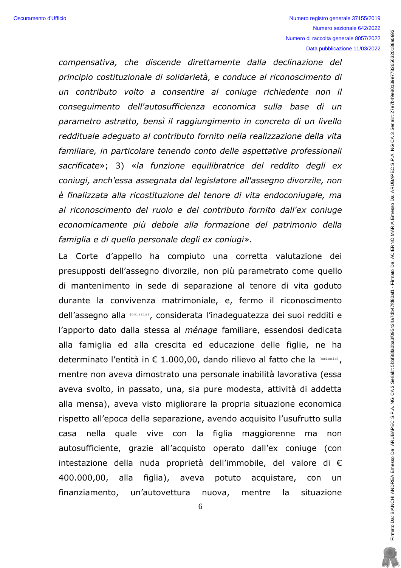compensativa, che discende direttamente dalla declinazione del principio costituzionale di solidarietà, e conduce al riconoscimento di un contributo volto a consentire al coniuge richiedente non il consequimento dell'autosufficienza economica sulla base di un parametro astratto, bensì il raggiungimento in concreto di un livello reddituale adequato al contributo fornito nella realizzazione della vita familiare, in particolare tenendo conto delle aspettative professionali sacrificate»; 3) «la funzione equilibratrice del reddito degli ex coniugi, anch'essa assegnata dal legislatore all'assegno divorzile, non è finalizzata alla ricostituzione del tenore di vita endoconiugale, ma al riconoscimento del ruolo e del contributo fornito dall'ex coniuge economicamente più debole alla formazione del patrimonio della famiglia e di quello personale degli ex coniugi».

La Corte d'appello ha compiuto una corretta valutazione dei presupposti dell'assegno divorzile, non più parametrato come quello di mantenimento in sede di separazione al tenore di vita goduto durante la convivenza matrimoniale, e, fermo il riconoscimento dell'assegno alla (omissis), considerata l'inadeguatezza dei suoi redditi e l'apporto dato dalla stessa al *ménage* familiare, essendosi dedicata alla famiglia ed alla crescita ed educazione delle figlie, ne ha determinato l'entità in  $\epsilon$  1.000,00, dando rilievo al fatto che la  $\text{\tiny{({\tiny\textsf{omissis}})}}$ , mentre non aveva dimostrato una personale inabilità lavorativa (essa aveva svolto, in passato, una, sia pure modesta, attività di addetta alla mensa), aveva visto migliorare la propria situazione economica rispetto all'epoca della separazione, avendo acquisito l'usufrutto sulla casa nella quale vive con la figlia maggiorenne ma non autosufficiente, grazie all'acquisto operato dall'ex coniuge (con intestazione della nuda proprietà dell'immobile, del valore di  $\epsilon$ 400.000,00, alla figlia), aveva potuto acquistare, con un finanziamento, un'autovettura nuova, mentre la situazione

6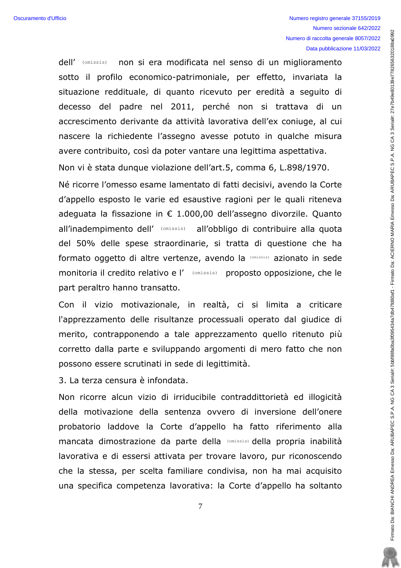non si era modificata nel senso di un miglioramento dell' (omissis) sotto il profilo economico-patrimoniale, per effetto, invariata la situazione reddituale, di quanto ricevuto per eredità a seguito di decesso del padre nel 2011, perché non si trattava di un accrescimento derivante da attività lavorativa dell'ex coniuge, al cui nascere la richiedente l'assegno avesse potuto in qualche misura avere contribuito, così da poter vantare una legittima aspettativa.

Non vi è stata dunque violazione dell'art.5, comma 6, L.898/1970.

Né ricorre l'omesso esame lamentato di fatti decisivi, avendo la Corte d'appello esposto le varie ed esaustive ragioni per le quali riteneva adeguata la fissazione in € 1.000,00 dell'assegno divorzile. Quanto all'inadempimento dell' (omissis) all'obbligo di contribuire alla quota del 50% delle spese straordinarie, si tratta di questione che ha formato oggetto di altre vertenze, avendo la (omissis) azionato in sede monitoria il credito relativo e l' (omissis) proposto opposizione, che le part peraltro hanno transatto.

Con il vizio motivazionale, in realtà, ci si limita a criticare l'apprezzamento delle risultanze processuali operato dal giudice di merito, contrapponendo a tale apprezzamento quello ritenuto più corretto dalla parte e sviluppando argomenti di mero fatto che non possono essere scrutinati in sede di legittimità.

3. La terza censura è infondata.

Non ricorre alcun vizio di irriducibile contraddittorietà ed illogicità della motivazione della sentenza ovvero di inversione dell'onere probatorio laddove la Corte d'appello ha fatto riferimento alla mancata dimostrazione da parte della (Omissis) della propria inabilità lavorativa e di essersi attivata per trovare lavoro, pur riconoscendo che la stessa, per scelta familiare condivisa, non ha mai acquisito una specifica competenza lavorativa: la Corte d'appello ha soltanto Firmato Da: BIANCHI ANDREA Emesso Da: ARUBAPEC S.P.A. NG CA 3 Serial#: 5bbf88fa0ba3f0954344a7db47rd80af1 - Firmato Da: ACIERNO MARIA Emesso Da: ARUBAPEC S.P.A. NG CA 3 Serial#: 27e7b49e80139e7782666320189a093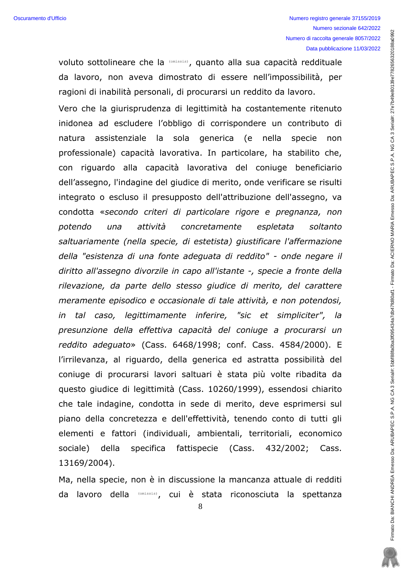Firmato Da: BIANDREA Emesso Da: ARUBAPEC S.P.A. NG CA 3 Serial#: 5bbf86fa0ba3f095434a7d9047fd80af1 - Firmato Da: ACIERNO MARIA Emesso Da: ARUBAPEC S.P.A. NG CA 3 Serial#: 27e7b49e80139e7782656320188a0993

voluto sottolineare che la (omissis), quanto alla sua capacità reddituale da lavoro, non aveva dimostrato di essere nell'impossibilità, per ragioni di inabilità personali, di procurarsi un reddito da lavoro. Vero che la giurisprudenza di legittimità ha costantemente ritenuto inidonea ad escludere l'obbligo di corrispondere un contributo di assistenziale la sola generica (e natura nella specie non professionale) capacità lavorativa. In particolare, ha stabilito che, con riguardo alla capacità lavorativa del coniuge beneficiario dell'assegno, l'indagine del giudice di merito, onde verificare se risulti integrato o escluso il presupposto dell'attribuzione dell'assegno, va condotta «secondo criteri di particolare rigore e pregnanza, non attività concretamente potendo  $una$ espletata soltanto saltuariamente (nella specie, di estetista) giustificare l'affermazione della "esistenza di una fonte adeguata di reddito" - onde negare il diritto all'assegno divorzile in capo all'istante -, specie a fronte della rilevazione, da parte dello stesso giudice di merito, del carattere meramente episodico e occasionale di tale attività, e non potendosi, in tal caso, legittimamente inferire, "sic et simpliciter", la presunzione della effettiva capacità del coniuge a procurarsi un reddito adequato» (Cass. 6468/1998; conf. Cass. 4584/2000). E l'irrilevanza, al riguardo, della generica ed astratta possibilità del coniuge di procurarsi lavori saltuari è stata più volte ribadita da questo giudice di legittimità (Cass. 10260/1999), essendosi chiarito che tale indagine, condotta in sede di merito, deve esprimersi sul piano della concretezza e dell'effettività, tenendo conto di tutti gli elementi e fattori (individuali, ambientali, territoriali, economico fattispecie (Cass. sociale) della specifica 432/2002; Cass. 13169/2004).

Ma, nella specie, non è in discussione la mancanza attuale di redditi da lavoro della (omissis), cui è stata riconosciuta la spettanza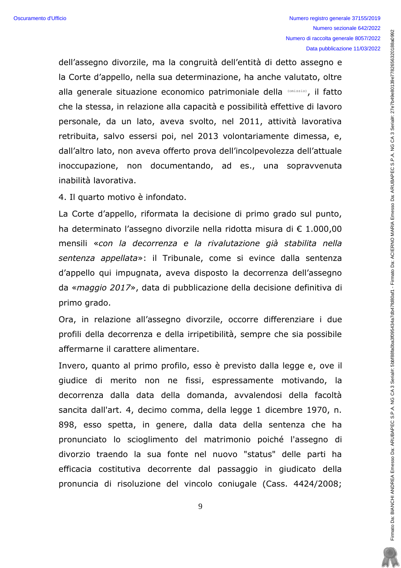dell'assegno divorzile, ma la congruità dell'entità di detto assegno e la Corte d'appello, nella sua determinazione, ha anche valutato, oltre alla generale situazione economico patrimoniale della (Omissis), il fatto che la stessa, in relazione alla capacità e possibilità effettive di lavoro personale, da un lato, aveva svolto, nel 2011, attività lavorativa retribuita, salvo essersi poi, nel 2013 volontariamente dimessa, e, dall'altro lato, non aveva offerto prova dell'incolpevolezza dell'attuale inoccupazione, non documentando, ad es., una sopravvenuta inabilità lavorativa.

4. Il quarto motivo è infondato.

La Corte d'appello, riformata la decisione di primo grado sul punto, ha determinato l'assegno divorzile nella ridotta misura di € 1.000,00 mensili «con la decorrenza e la rivalutazione già stabilita nella sentenza appellata»: il Tribunale, come si evince dalla sentenza d'appello qui impugnata, aveva disposto la decorrenza dell'assegno da «maggio 2017», data di pubblicazione della decisione definitiva di primo grado.

Ora, in relazione all'assegno divorzile, occorre differenziare i due profili della decorrenza e della irripetibilità, sempre che sia possibile affermarne il carattere alimentare.

Invero, quanto al primo profilo, esso è previsto dalla legge e, ove il giudice di merito non ne fissi, espressamente motivando, la decorrenza dalla data della domanda, avvalendosi della facoltà sancita dall'art. 4, decimo comma, della legge 1 dicembre 1970, n. 898, esso spetta, in genere, dalla data della sentenza che ha pronunciato lo scioglimento del matrimonio poiché l'assegno di divorzio traendo la sua fonte nel nuovo "status" delle parti ha efficacia costitutiva decorrente dal passaggio in giudicato della pronuncia di risoluzione del vincolo coniugale (Cass, 4424/2008;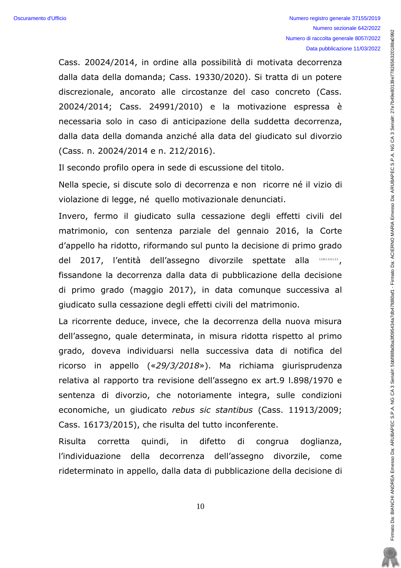Cass. 20024/2014, in ordine alla possibilità di motivata decorrenza dalla data della domanda; Cass. 19330/2020). Si tratta di un potere discrezionale, ancorato alle circostanze del caso concreto (Cass. 20024/2014; Cass. 24991/2010) e la motivazione espressa è necessaria solo in caso di anticipazione della suddetta decorrenza, dalla data della domanda anziché alla data del giudicato sul divorzio (Cass. n. 20024/2014 e n. 212/2016).

Il secondo profilo opera in sede di escussione del titolo.

Nella specie, si discute solo di decorrenza e non ricorre né il vizio di violazione di legge, né quello motivazionale denunciati.

Invero, fermo il giudicato sulla cessazione degli effetti civili del matrimonio, con sentenza parziale del gennaio 2016, la Corte d'appello ha ridotto, riformando sul punto la decisione di primo grado del 2017, l'entità dell'assegno divorzile spettate alla fissandone la decorrenza dalla data di pubblicazione della decisione di primo grado (maggio 2017), in data comunque successiva al giudicato sulla cessazione degli effetti civili del matrimonio. (omissis)

La ricorrente deduce, invece, che la decorrenza della nuova misura dell'assegno, quale determinata, in misura ridotta rispetto al primo grado, doveva individuarsi nella successiva data di notifica del ricorso in appello  $(*29/3/2018*)$ . Ma richiama giurisprudenza relativa al rapporto tra revisione dell'assegno ex art.9 l.898/1970 e sentenza di divorzio, che notoriamente integra, sulle condizioni economiche, un qiudicato rebus sic stantibus (Cass. 11913/2009; Cass. 16173/2015), che risulta del tutto inconferente.

Risulta corretta quindi, in difetto di congrua doglianza, l'individuazione della decorrenza dell'assegno divorzile, come rideterminato in appello, dalla data di pubblicazione della decisione di

10